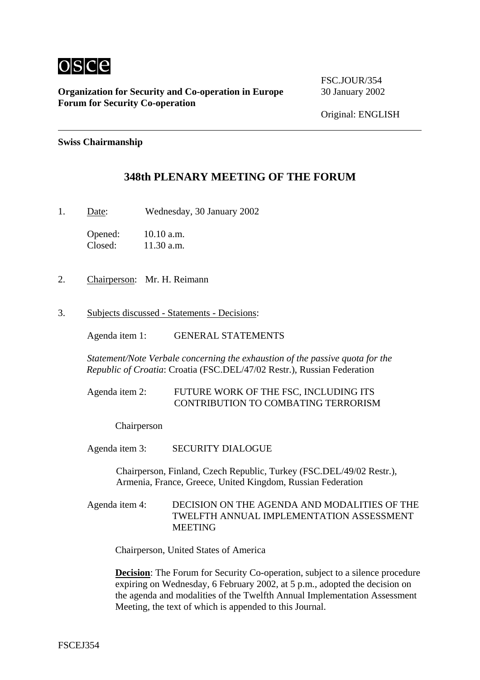

**Organization for Security and Co-operation in Europe** 30 January 2002 **Forum for Security Co-operation**

FSC.JOUR/354

#### **Swiss Chairmanship**

# **348th PLENARY MEETING OF THE FORUM**

1. Date: Wednesday, 30 January 2002

Opened: 10.10 a.m. Closed: 11.30 a.m.

- 2. Chairperson: Mr. H. Reimann
- 3. Subjects discussed Statements Decisions:

Agenda item 1: GENERAL STATEMENTS

*Statement/Note Verbale concerning the exhaustion of the passive quota for the Republic of Croatia*: Croatia (FSC.DEL/47/02 Restr.), Russian Federation

## Agenda item 2: FUTURE WORK OF THE FSC, INCLUDING ITS CONTRIBUTION TO COMBATING TERRORISM

#### Chairperson

Agenda item 3: SECURITY DIALOGUE

Chairperson, Finland, Czech Republic, Turkey (FSC.DEL/49/02 Restr.), Armenia, France, Greece, United Kingdom, Russian Federation

Agenda item 4: DECISION ON THE AGENDA AND MODALITIES OF THE TWELFTH ANNUAL IMPLEMENTATION ASSESSMENT MEETING

Chairperson, United States of America

**Decision:** The Forum for Security Co-operation, subject to a silence procedure expiring on Wednesday, 6 February 2002, at 5 p.m., adopted the decision on the agenda and modalities of the Twelfth Annual Implementation Assessment Meeting, the text of which is appended to this Journal.